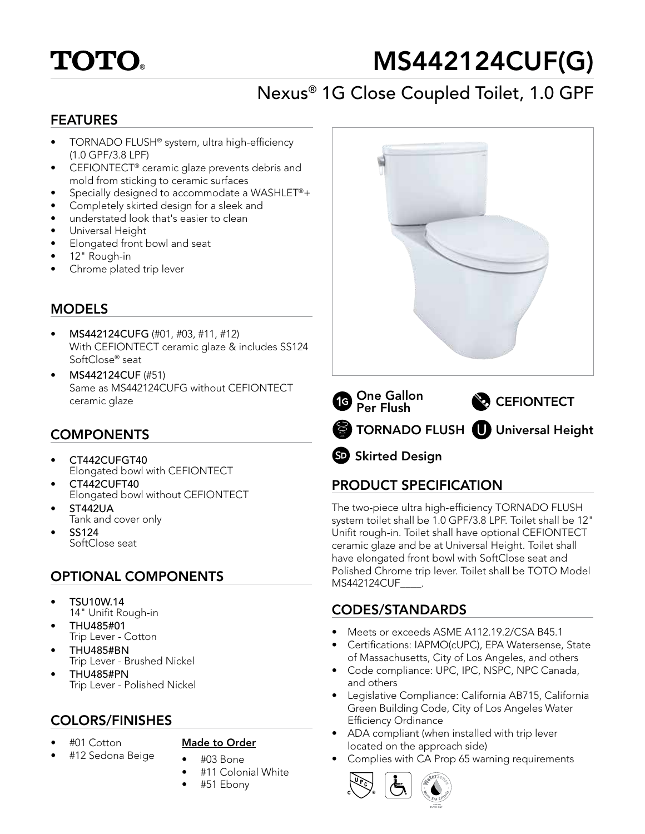# **TOTO**

# MS442124CUF(G)

## Nexus® 1G Close Coupled Toilet, 1.0 GPF

#### FEATURES

- TORNADO FLUSH® system, ultra high-efficiency (1.0 GPF/3.8 LPF)
- CEFIONTECT® ceramic glaze prevents debris and mold from sticking to ceramic surfaces
- Specially designed to accommodate a WASHLET®+
- Completely skirted design for a sleek and
- understated look that's easier to clean
- Universal Height
- Elongated front bowl and seat
- 12" Rough-in
- Chrome plated trip lever

## **MODELS**

- MS442124CUFG (#01, #03, #11, #12) With CEFIONTECT ceramic glaze & includes SS124 SoftClose® seat
- MS442124CUF (#51) Same as MS442124CUFG without CEFIONTECT ceramic glaze

## COMPONENTS

- CT442CUFGT40 Elongated bowl with CEFIONTECT
- CT442CUFT40 Elongated bowl without CEFIONTECT
- ST442UA Tank and cover only
- SS124 SoftClose seat

## OPTIONAL COMPONENTS

- TSU10W.14 14" Unifit Rough-in
- THU485#01 Trip Lever - Cotton
- THU485#BN Trip Lever - Brushed Nickel
- THU485#PN Trip Lever - Polished Nickel

### COLORS/FINISHES

• #01 Cotton

#### Made to Order

- #12 Sedona Beige
- #03 Bone
- #11 Colonial White
- #51 Ebony





SD Skirted Design

## PRODUCT SPECIFICATION

The two-piece ultra high-efficiency TORNADO FLUSH system toilet shall be 1.0 GPF/3.8 LPF. Toilet shall be 12" Unifit rough-in. Toilet shall have optional CEFIONTECT ceramic glaze and be at Universal Height. Toilet shall have elongated front bowl with SoftClose seat and Polished Chrome trip lever. Toilet shall be TOTO Model MS442124CUF\_\_\_\_.

## CODES/STANDARDS

- Meets or exceeds ASME A112.19.2/CSA B45.1
- Certifications: IAPMO(cUPC), EPA Watersense, State of Massachusetts, City of Los Angeles, and others
- Code compliance: UPC, IPC, NSPC, NPC Canada, and others
- Legislative Compliance: California AB715, California Green Building Code, City of Los Angeles Water Efficiency Ordinance
- ADA compliant (when installed with trip lever located on the approach side)
- Complies with CA Prop 65 warning requirements